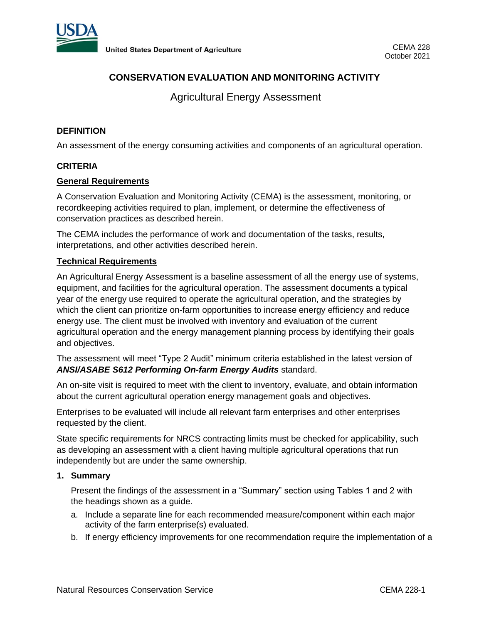

# **CONSERVATION EVALUATION AND MONITORING ACTIVITY**

Agricultural Energy Assessment

# **DEFINITION**

An assessment of the energy consuming activities and components of an agricultural operation.

### **CRITERIA**

### **General Requirements**

A Conservation Evaluation and Monitoring Activity (CEMA) is the assessment, monitoring, or recordkeeping activities required to plan, implement, or determine the effectiveness of conservation practices as described herein.

The CEMA includes the performance of work and documentation of the tasks, results, interpretations, and other activities described herein.

# **Technical Requirements**

An Agricultural Energy Assessment is a baseline assessment of all the energy use of systems, equipment, and facilities for the agricultural operation. The assessment documents a typical year of the energy use required to operate the agricultural operation, and the strategies by which the client can prioritize on-farm opportunities to increase energy efficiency and reduce energy use. The client must be involved with inventory and evaluation of the current agricultural operation and the energy management planning process by identifying their goals and objectives.

The assessment will meet "Type 2 Audit" minimum criteria established in the latest version of *ANSI/ASABE S612 Performing On-farm Energy Audits* standard.

An on-site visit is required to meet with the client to inventory, evaluate, and obtain information about the current agricultural operation energy management goals and objectives.

Enterprises to be evaluated will include all relevant farm enterprises and other enterprises requested by the client.

State specific requirements for NRCS contracting limits must be checked for applicability, such as developing an assessment with a client having multiple agricultural operations that run independently but are under the same ownership.

### **1. Summary**

Present the findings of the assessment in a "Summary" section using Tables 1 and 2 with the headings shown as a guide.

- a. Include a separate line for each recommended measure/component within each major activity of the farm enterprise(s) evaluated.
- b. If energy efficiency improvements for one recommendation require the implementation of a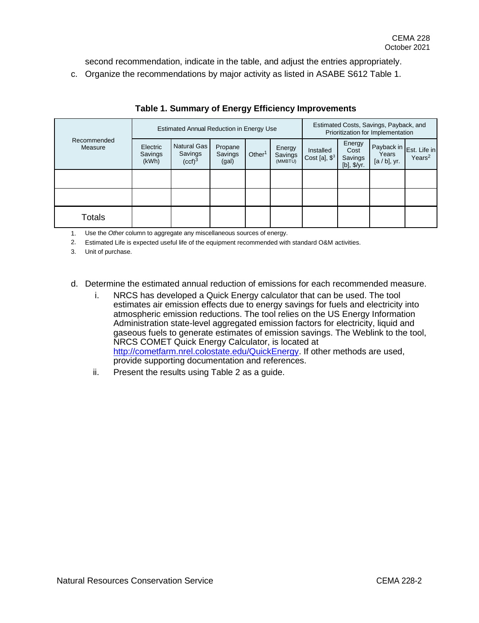second recommendation, indicate in the table, and adjust the entries appropriately.

c. Organize the recommendations by major activity as listed in ASABE S612 Table 1.

| Recommended<br>Measure | <b>Estimated Annual Reduction in Energy Use</b> | Estimated Costs, Savings, Payback, and<br>Prioritization for Implementation |                             |                    |                              |                              |                                          |                                                   |                    |
|------------------------|-------------------------------------------------|-----------------------------------------------------------------------------|-----------------------------|--------------------|------------------------------|------------------------------|------------------------------------------|---------------------------------------------------|--------------------|
|                        | Electric<br>Savings<br>(kWh)                    | <b>Natural Gas</b><br>Savings<br>(ccf) <sup>3</sup>                         | Propane<br>Savings<br>(gal) | Other <sup>1</sup> | Energy<br>Savings<br>(MMBTU) | Installed<br>Cost [a], $$^3$ | Energy<br>Cost<br>Savings<br>[b], \$/yr. | Payback in Est. Life in<br>Years<br>$[a/b]$ , yr. | Years <sup>2</sup> |
|                        |                                                 |                                                                             |                             |                    |                              |                              |                                          |                                                   |                    |
|                        |                                                 |                                                                             |                             |                    |                              |                              |                                          |                                                   |                    |
| Totals                 |                                                 |                                                                             |                             |                    |                              |                              |                                          |                                                   |                    |

# **Table 1. Summary of Energy Efficiency Improvements**

1. Use the *Other* column to aggregate any miscellaneous sources of energy.

2. Estimated Life is expected useful life of the equipment recommended with standard O&M activities.

3. Unit of purchase.

d. Determine the estimated annual reduction of emissions for each recommended measure.

- i. NRCS has developed a Quick Energy calculator that can be used. The tool estimates air emission effects due to energy savings for fuels and electricity into atmospheric emission reductions. The tool relies on the US Energy Information Administration state-level aggregated emission factors for electricity, liquid and gaseous fuels to generate estimates of emission savings. The Weblink to the tool, NRCS COMET Quick Energy Calculator, is located at [http://cometfarm.nrel.colostate.edu/QuickEnergy.](http://cometfarm.nrel.colostate.edu/QuickEnergy) If other methods are used, provide supporting documentation and references.
- ii. Present the results using Table 2 as a guide.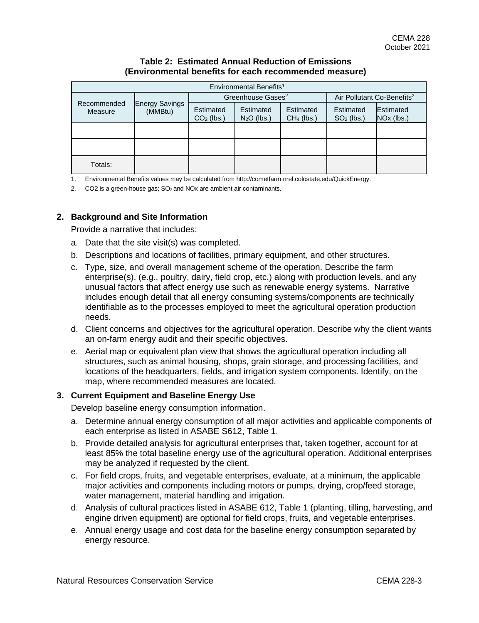### **Table 2: Estimated Annual Reduction of Emissions (Environmental benefits for each recommended measure)**

| Environmental Benefits <sup>1</sup> |                                  |                           |                               |                                        |                           |                         |  |  |  |  |  |
|-------------------------------------|----------------------------------|---------------------------|-------------------------------|----------------------------------------|---------------------------|-------------------------|--|--|--|--|--|
| Recommended<br>Measure              | <b>Energy Savings</b><br>(MMBtu) |                           | Greenhouse Gases <sup>2</sup> | Air Pollutant Co-Benefits <sup>2</sup> |                           |                         |  |  |  |  |  |
|                                     |                                  | Estimated<br>$CO2$ (lbs.) | Estimated<br>$N2O$ (lbs.)     | Estimated<br>$CH4$ (lbs.)              | Estimated<br>$SO2$ (lbs.) | Estimated<br>NOx (lbs.) |  |  |  |  |  |
|                                     |                                  |                           |                               |                                        |                           |                         |  |  |  |  |  |
|                                     |                                  |                           |                               |                                        |                           |                         |  |  |  |  |  |
| Totals:                             |                                  |                           |                               |                                        |                           |                         |  |  |  |  |  |

1. Environmental Benefits values may be calculated from http://cometfarm.nrel.colostate.edu/QuickEnergy.

2.  $CO2$  is a green-house gas;  $SO<sub>2</sub>$  and NOx are ambient air contaminants.

# **2. Background and Site Information**

Provide a narrative that includes:

- a. Date that the site visit(s) was completed.
- b. Descriptions and locations of facilities, primary equipment, and other structures.
- c. Type, size, and overall management scheme of the operation. Describe the farm enterprise(s), (e.g., poultry, dairy, field crop, etc.) along with production levels, and any unusual factors that affect energy use such as renewable energy systems. Narrative includes enough detail that all energy consuming systems/components are technically identifiable as to the processes employed to meet the agricultural operation production needs.
- d. Client concerns and objectives for the agricultural operation. Describe why the client wants an on-farm energy audit and their specific objectives.
- e. Aerial map or equivalent plan view that shows the agricultural operation including all structures, such as animal housing, shops, grain storage, and processing facilities, and locations of the headquarters, fields, and irrigation system components. Identify, on the map, where recommended measures are located.

### **3. Current Equipment and Baseline Energy Use**

Develop baseline energy consumption information.

- a. Determine annual energy consumption of all major activities and applicable components of each enterprise as listed in ASABE S612, Table 1.
- b. Provide detailed analysis for agricultural enterprises that, taken together, account for at least 85% the total baseline energy use of the agricultural operation. Additional enterprises may be analyzed if requested by the client.
- c. For field crops, fruits, and vegetable enterprises, evaluate, at a minimum, the applicable major activities and components including motors or pumps, drying, crop/feed storage, water management, material handling and irrigation.
- d. Analysis of cultural practices listed in ASABE 612, Table 1 (planting, tilling, harvesting, and engine driven equipment) are optional for field crops, fruits, and vegetable enterprises.
- e. Annual energy usage and cost data for the baseline energy consumption separated by energy resource.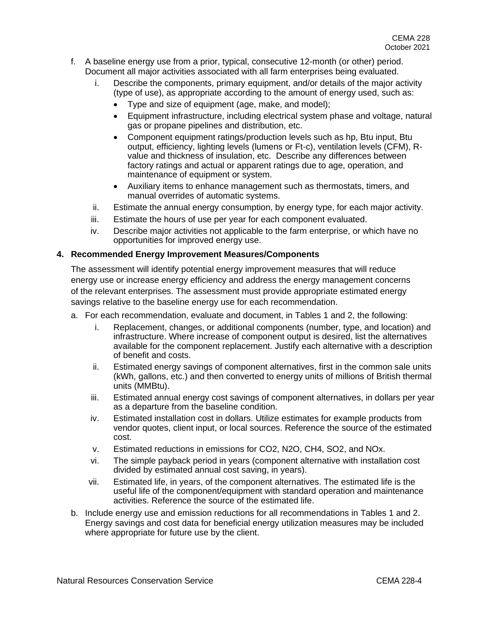- f. A baseline energy use from a prior, typical, consecutive 12-month (or other) period. Document all major activities associated with all farm enterprises being evaluated.
	- Describe the components, primary equipment, and/or details of the major activity (type of use), as appropriate according to the amount of energy used, such as:
		- Type and size of equipment (age, make, and model);
		- Equipment infrastructure, including electrical system phase and voltage, natural gas or propane pipelines and distribution, etc.
		- Component equipment ratings/production levels such as hp, Btu input, Btu output, efficiency, lighting levels (lumens or Ft-c), ventilation levels (CFM), Rvalue and thickness of insulation, etc. Describe any differences between factory ratings and actual or apparent ratings due to age, operation, and maintenance of equipment or system.
		- Auxiliary items to enhance management such as thermostats, timers, and manual overrides of automatic systems.
	- ii. Estimate the annual energy consumption, by energy type, for each major activity.
	- iii. Estimate the hours of use per year for each component evaluated.
	- iv. Describe major activities not applicable to the farm enterprise, or which have no opportunities for improved energy use.

### **4. Recommended Energy Improvement Measures/Components**

The assessment will identify potential energy improvement measures that will reduce energy use or increase energy efficiency and address the energy management concerns of the relevant enterprises. The assessment must provide appropriate estimated energy savings relative to the baseline energy use for each recommendation.

- a. For each recommendation, evaluate and document, in Tables 1 and 2, the following:
	- i. Replacement, changes, or additional components (number, type, and location) and infrastructure. Where increase of component output is desired, list the alternatives available for the component replacement. Justify each alternative with a description of benefit and costs.
	- ii. Estimated energy savings of component alternatives, first in the common sale units (kWh, gallons, etc.) and then converted to energy units of millions of British thermal units (MMBtu).
	- iii. Estimated annual energy cost savings of component alternatives, in dollars per year as a departure from the baseline condition.
	- iv. Estimated installation cost in dollars. Utilize estimates for example products from vendor quotes, client input, or local sources. Reference the source of the estimated cost.
	- v. Estimated reductions in emissions for CO2, N2O, CH4, SO2, and NOx.
	- vi. The simple payback period in years (component alternative with installation cost divided by estimated annual cost saving, in years).
	- vii. Estimated life, in years, of the component alternatives. The estimated life is the useful life of the component/equipment with standard operation and maintenance activities. Reference the source of the estimated life.
- b. Include energy use and emission reductions for all recommendations in Tables 1 and 2. Energy savings and cost data for beneficial energy utilization measures may be included where appropriate for future use by the client.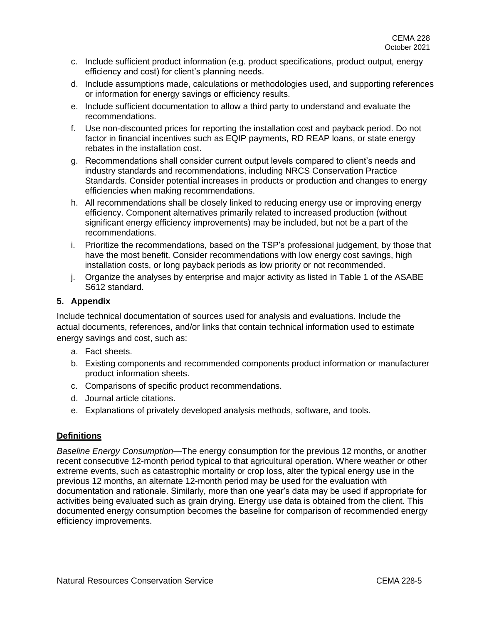- c. Include sufficient product information (e.g. product specifications, product output, energy efficiency and cost) for client's planning needs.
- d. Include assumptions made, calculations or methodologies used, and supporting references or information for energy savings or efficiency results.
- e. Include sufficient documentation to allow a third party to understand and evaluate the recommendations.
- f. Use non-discounted prices for reporting the installation cost and payback period. Do not factor in financial incentives such as EQIP payments, RD REAP loans, or state energy rebates in the installation cost.
- g. Recommendations shall consider current output levels compared to client's needs and industry standards and recommendations, including NRCS Conservation Practice Standards. Consider potential increases in products or production and changes to energy efficiencies when making recommendations.
- h. All recommendations shall be closely linked to reducing energy use or improving energy efficiency. Component alternatives primarily related to increased production (without significant energy efficiency improvements) may be included, but not be a part of the recommendations.
- i. Prioritize the recommendations, based on the TSP's professional judgement, by those that have the most benefit. Consider recommendations with low energy cost savings, high installation costs, or long payback periods as low priority or not recommended.
- j. Organize the analyses by enterprise and major activity as listed in Table 1 of the ASABE S612 standard.

# **5. Appendix**

Include technical documentation of sources used for analysis and evaluations. Include the actual documents, references, and/or links that contain technical information used to estimate energy savings and cost, such as:

- a. Fact sheets.
- b. Existing components and recommended components product information or manufacturer product information sheets.
- c. Comparisons of specific product recommendations.
- d. Journal article citations.
- e. Explanations of privately developed analysis methods, software, and tools.

### **Definitions**

*Baseline Energy Consumption*—The energy consumption for the previous 12 months, or another recent consecutive 12-month period typical to that agricultural operation. Where weather or other extreme events, such as catastrophic mortality or crop loss, alter the typical energy use in the previous 12 months, an alternate 12-month period may be used for the evaluation with documentation and rationale. Similarly, more than one year's data may be used if appropriate for activities being evaluated such as grain drying. Energy use data is obtained from the client. This documented energy consumption becomes the baseline for comparison of recommended energy efficiency improvements.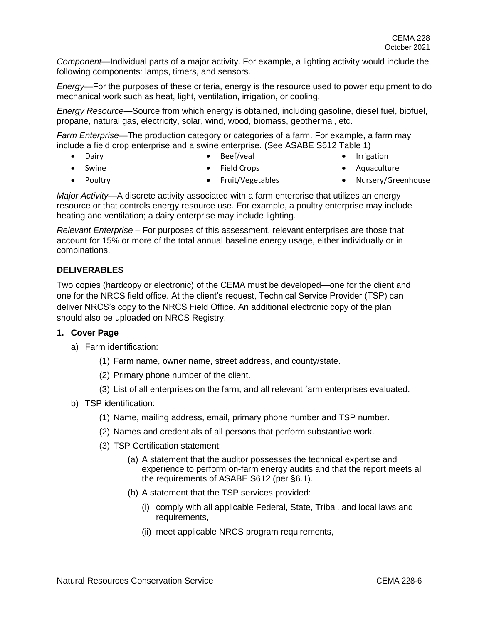*Component*—Individual parts of a major activity. For example, a lighting activity would include the following components: lamps, timers, and sensors.

*Energy—*For the purposes of these criteria, energy is the resource used to power equipment to do mechanical work such as heat, light, ventilation, irrigation, or cooling.

*Energy Resource—*Source from which energy is obtained, including gasoline, diesel fuel, biofuel, propane, natural gas, electricity, solar, wind, wood, biomass, geothermal, etc.

*Farm Enterprise—*The production category or categories of a farm. For example, a farm may include a field crop enterprise and a swine enterprise. (See ASABE S612 Table 1)

- Dairy
- Beef/veal

**Irrigation** 

• Swine

• Field Crops

• Aquaculture

• Poultry

- Fruit/Vegetables
- Nursery/Greenhouse

*Major Activity—*A discrete activity associated with a farm enterprise that utilizes an energy resource or that controls energy resource use. For example, a poultry enterprise may include heating and ventilation; a dairy enterprise may include lighting.

*Relevant Enterprise –* For purposes of this assessment, relevant enterprises are those that account for 15% or more of the total annual baseline energy usage, either individually or in combinations.

# **DELIVERABLES**

Two copies (hardcopy or electronic) of the CEMA must be developed—one for the client and one for the NRCS field office. At the client's request, Technical Service Provider (TSP) can deliver NRCS's copy to the NRCS Field Office. An additional electronic copy of the plan should also be uploaded on NRCS Registry.

### **1. Cover Page**

- a) Farm identification:
	- (1) Farm name, owner name, street address, and county/state.
	- (2) Primary phone number of the client.
	- (3) List of all enterprises on the farm, and all relevant farm enterprises evaluated.
- b) TSP identification:
	- (1) Name, mailing address, email, primary phone number and TSP number.
	- (2) Names and credentials of all persons that perform substantive work.
	- (3) TSP Certification statement:
		- (a) A statement that the auditor possesses the technical expertise and experience to perform on-farm energy audits and that the report meets all the requirements of ASABE S612 (per §6.1).
		- (b) A statement that the TSP services provided:
			- (i) comply with all applicable Federal, State, Tribal, and local laws and requirements,
			- (ii) meet applicable NRCS program requirements,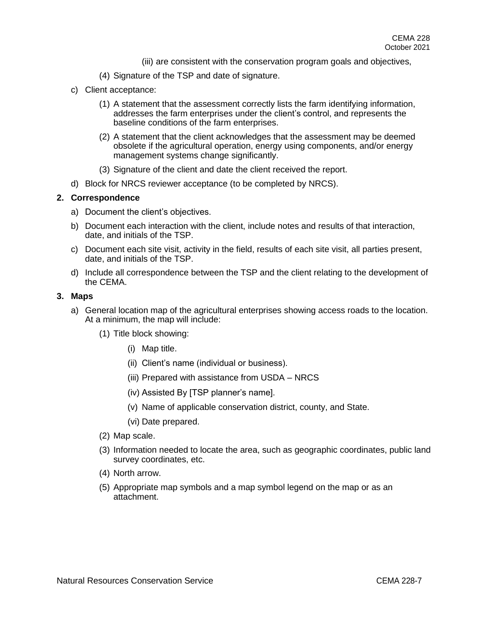- (iii) are consistent with the conservation program goals and objectives,
- (4) Signature of the TSP and date of signature.
- c) Client acceptance:
	- (1) A statement that the assessment correctly lists the farm identifying information, addresses the farm enterprises under the client's control, and represents the baseline conditions of the farm enterprises.
	- (2) A statement that the client acknowledges that the assessment may be deemed obsolete if the agricultural operation, energy using components, and/or energy management systems change significantly.
	- (3) Signature of the client and date the client received the report.
- d) Block for NRCS reviewer acceptance (to be completed by NRCS).

#### **2. Correspondence**

- a) Document the client's objectives.
- b) Document each interaction with the client, include notes and results of that interaction, date, and initials of the TSP.
- c) Document each site visit, activity in the field, results of each site visit, all parties present, date, and initials of the TSP.
- d) Include all correspondence between the TSP and the client relating to the development of the CEMA.

#### **3. Maps**

- a) General location map of the agricultural enterprises showing access roads to the location. At a minimum, the map will include:
	- (1) Title block showing:
		- (i) Map title.
		- (ii) Client's name (individual or business).
		- (iii) Prepared with assistance from USDA NRCS
		- (iv) Assisted By [TSP planner's name].
		- (v) Name of applicable conservation district, county, and State.
		- (vi) Date prepared.
	- (2) Map scale.
	- (3) Information needed to locate the area, such as geographic coordinates, public land survey coordinates, etc.
	- (4) North arrow.
	- (5) Appropriate map symbols and a map symbol legend on the map or as an attachment.